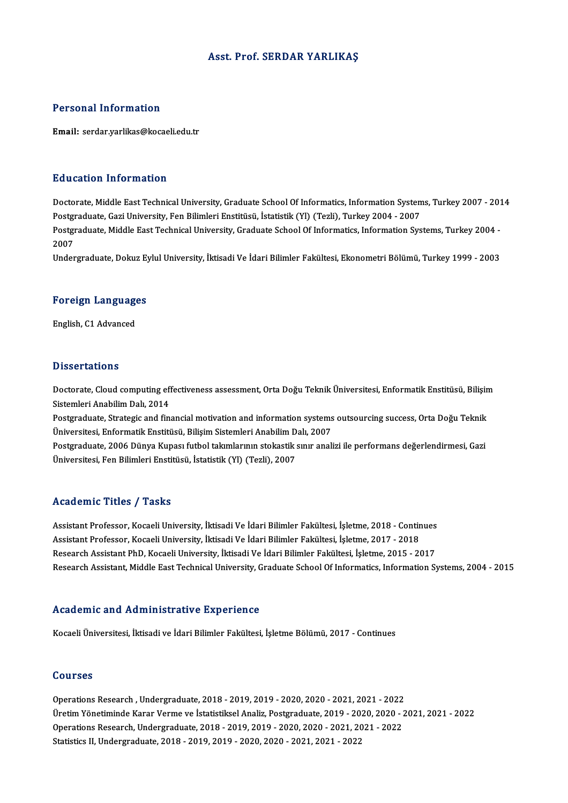### Asst. Prof. SERDAR YARLIKAŞ

### Personal Information

Email: serdar.yarlikas@kocaeli.edu.tr

### Education Information

Education Information<br>Doctorate, Middle East Technical University, Graduate School Of Informatics, Information Systems, Turkey 2007 - 2014<br>Postareduate Cari University, Fen Bilimleri Enstitüsü, İstatistik (VI) (Tarli), Tur Puususeen minemateaan<br>Doctorate, Middle East Technical University, Graduate School Of Informatics, Information System<br>Postgraduate, Gazi University, Fen Bilimleri Enstitüsü, İstatistik (Yl) (Tezli), Turkey 2004 - 2007<br>Post Doctorate, Middle East Technical University, Graduate School Of Informatics, Information Systems, Turkey 2007 - 201<br>Postgraduate, Gazi University, Fen Bilimleri Enstitüsü, İstatistik (Yl) (Tezli), Turkey 2004 - 2007<br>Postgr Postgraduate, Gazi University, Fen Bilimleri Enstitüsü, İstatistik (Yl) (Tezli), Turkey 2004 - 2007<br>Postgraduate, Middle East Technical University, Graduate School Of Informatics, Information Systems, Turkey 2004 -<br>2007 Undergraduate, Dokuz Eylul University, İktisadi Ve İdari Bilimler Fakültesi, Ekonometri Bölümü, Turkey 1999 - 2003

# ondergraduate, Dokuz Ey<br>Foreign Languages F<mark>oreign Languag</mark>e<br>English, C1 Advanced

English, C1 Advanced<br>Dissertations

Dissertations<br>Doctorate, Cloud computing effectiveness assessment, Orta Doğu Teknik Üniversitesi, Enformatik Enstitüsü, Bilişim<br>Sistemleri Anabilim Dalı, 2014 Bisson catrons<br>Doctorate, Cloud computing eff<br>Sistemleri Anabilim Dalı, 2014<br>Bostanaduate, Strategie and fin Doctorate, Cloud computing effectiveness assessment, Orta Doğu Teknik Üniversitesi, Enformatik Enstitüsü, Bilişin<br>Sistemleri Anabilim Dalı, 2014<br>Postgraduate, Strategic and financial motivation and information systems outs

Sistemleri Anabilim Dalı, 2014<br>Postgraduate, Strategic and financial motivation and information systems<br>Üniversitesi, Enformatik Enstitüsü, Bilişim Sistemleri Anabilim Dalı, 2007<br>Postgraduate, 2006 Dünya Kunası futbol tala Postgraduate, Strategic and financial motivation and information systems outsourcing success, Orta Doğu Teknik<br>Üniversitesi, Enformatik Enstitüsü, Bilişim Sistemleri Anabilim Dalı, 2007<br>Postgraduate, 2006 Dünya Kupası futb

Üniversitesi, Enformatik Enstitüsü, Bilişim Sistemleri Anabilim Dalı, 2007<br>Postgraduate, 2006 Dünya Kupası futbol takımlarının stokastik sınır analizi ile performans değerlendirmesi, Gazi<br>Üniversitesi, Fen Bilimleri Enstit

#### Academic Titles / Tasks

Academic Titles / Tasks<br>Assistant Professor, Kocaeli University, İktisadi Ve İdari Bilimler Fakültesi, İşletme, 2018 - Continues<br>Assistant Professor, Kosaeli University, İktisadi Ve İdari Bilimler Fakültesi, İsletme, 2017, Assistant Professor, Kocaeli University, İktisadi Ve İdari Bilimler Fakültesi, İşletme, 2018 - Contin<br>Assistant Professor, Kocaeli University, İktisadi Ve İdari Bilimler Fakültesi, İşletme, 2017 - 2018<br>Researsh Assistant P Assistant Professor, Kocaeli University, İktisadi Ve İdari Bilimler Fakültesi, İşletme, 2018 - Continues<br>Assistant Professor, Kocaeli University, İktisadi Ve İdari Bilimler Fakültesi, İşletme, 2017 - 2018<br>Research Assistan Assistant Professor, Kocaeli University, İktisadi Ve İdari Bilimler Fakültesi, İşletme, 2017 - 2018<br>Research Assistant PhD, Kocaeli University, İktisadi Ve İdari Bilimler Fakültesi, İşletme, 2015 - 2017<br>Research Assistant,

#### Academic and Administrative Experience

Kocaeli Üniversitesi, İktisadi ve İdari Bilimler Fakültesi, İşletme Bölümü, 2017 - Continues

### Courses

OperationsResearch ,Undergraduate,2018 -2019,2019 -2020,2020 -2021,2021 -2022 UURITUUS<br>Operations Research , Undergraduate, 2018 - 2019, 2019 - 2020, 2020 - 2021, 2021 - 2022<br>Üretim Yönetiminde Karar Verme ve İstatistiksel Analiz, Postgraduate, 2019 - 2020, 2020 - 2021, 2021 - 2022<br>Operations Besser Operations Research , Undergraduate, 2018 - 2019, 2019 - 2020, 2020 - 2021, 2021 - 2022<br>Üretim Yönetiminde Karar Verme ve İstatistiksel Analiz, Postgraduate, 2019 - 2020, 2020 - 2<br>Operations Research, Undergraduate, 2018 -Üretim Yönetiminde Karar Verme ve İstatistiksel Analiz, Postgraduate, 2019 - 20<br>Operations Research, Undergraduate, 2018 - 2019, 2019 - 2020, 2020 - 2021, 20<br>Statistics II, Undergraduate, 2018 - 2019, 2019 - 2020, 2020 - 2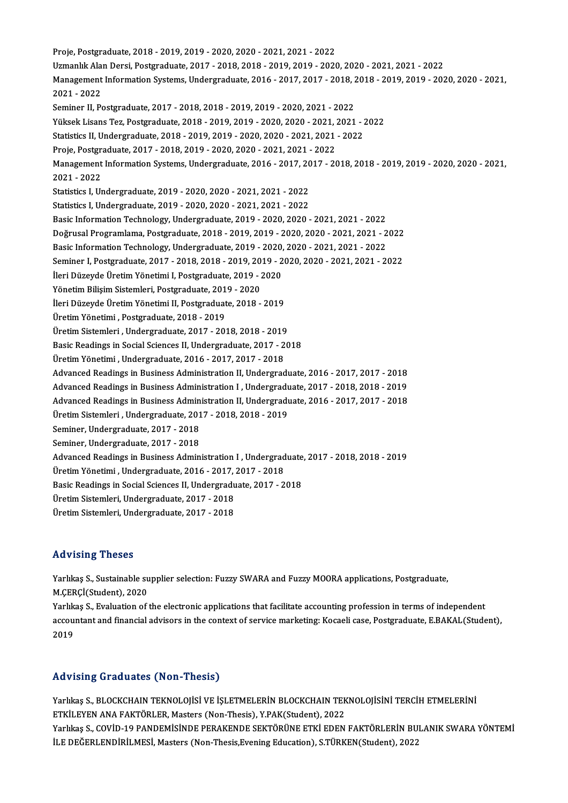Proje,Postgraduate,2018 -2019,2019 -2020,2020 -2021,2021 -2022 Proje, Postgraduate, 2018 - 2019, 2019 - 2020, 2020 - 2021, 2021 - 2022<br>Uzmanlık Alan Dersi, Postgraduate, 2017 - 2018, 2018 - 2019, 2019 - 2020, 2020 - 2021, 2021 - 2022<br>Managament Information Systems, Undergraduate, 2016 Management Information Systems, Undergraduate, 2016 - 2017, 2017 - 2018, 2018 - 2019, 2019 - 2020, 2020 - 2021,<br>2021 - 2022 Uzmanlık Ala<br>Management<br>2021 - 2022<br>Seminer II. Be Seminer II, Postgraduate, 2017 - 2018, 2018 - 2019, 2019 - 2020, 2021 - 2022 2021 - 2022<br>Seminer II, Postgraduate, 2017 - 2018, 2018 - 2019, 2019 - 2020, 2021 - 2022<br>Yüksek Lisans Tez, Postgraduate, 2018 - 2019, 2019 - 2020, 2020 - 2021, 2021 - 2022<br>Statistics II Undergraduate, 2019, 2019, 2019, 20 Seminer II, Postgraduate, 2017 - 2018, 2018 - 2019, 2019 - 2020, 2021 - 2022<br>Yüksek Lisans Tez, Postgraduate, 2018 - 2019, 2019 - 2020, 2020 - 2021, 2021 - 2<br>Statistics II, Undergraduate, 2018 - 2019, 2019 - 2020, 2020 - 2 Statistics II, Undergraduate, 2018 - 2019, 2019 - 2020, 2020 - 2021, 2021 - 2022 Management Information Systems, Undergraduate, 2016 - 2017, 2017 - 2018, 2018 - 2019, 2019 - 2020, 2020 - 2021,<br>2021 - 2022 Proje, Postgraduate, 2017 - 2018, 2019 - 2020, 2020 - 2021, 2021 - 2022 Management Information Systems, Undergraduate, 2016 - 2017, 20<br>2021 - 2022<br>Statistics I, Undergraduate, 2019 - 2020, 2020 - 2021, 2021 - 2022<br>Statistics I, Undergraduate, 2019, 2020, 2020, 2021, 2021, 2022 2021 - 2022<br>Statistics I, Undergraduate, 2019 - 2020, 2020 - 2021, 2021 - 2022<br>Statistics I, Undergraduate, 2019 - 2020, 2020 - 2021, 2021 - 2022<br>Besis Information Teshnology, Undergraduate, 2019, 2020, 2020 Statistics I, Undergraduate, 2019 - 2020, 2020 - 2021, 2021 - 2022<br>Basic Information Technology, Undergraduate, 2019 - 2020, 2020 - 2021, 2021 - 2022 Statistics I, Undergraduate, 2019 - 2020, 2020 - 2021, 2021 - 2022<br>Basic Information Technology, Undergraduate, 2019 - 2020, 2020 - 2021, 2021 - 2022<br>Doğrusal Programlama, Postgraduate, 2018 - 2019, 2019 - 2020, 2020 - 202 Basic Information Technology, Undergraduate, 2019 - 2020, 2020 - 2021, 2021 - 2022<br>Doğrusal Programlama, Postgraduate, 2018 - 2019, 2019 - 2020, 2020 - 2021, 2021 - 2<br>Basic Information Technology, Undergraduate, 2019 - 202 Doğrusal Programlama, Postgraduate, 2018 - 2019, 2019 - 2020, 2020 - 2021, 2021 - 2022<br>Basic Information Technology, Undergraduate, 2019 - 2020, 2020 - 2021, 2021 - 2022<br>Seminer I, Postgraduate, 2017 - 2018, 2018 - 2019, 2 Basic Information Technology, Undergraduate, 2019 - 2020, 2020 - 2021, 2021 - 2022<br>Seminer I, Postgraduate, 2017 - 2018, 2018 - 2019, 2019 - 2020, 2020 - 2021, 2021 - 2022<br>İleri Düzeyde Üretim Yönetimi I, Postgraduate, 201 İleri Düzeyde Üretim Yönetimi I, Postgraduate, 2019 - 2020 İleri Düzeyde Üretim Yönetimi II, Postgraduate, 2018 - 2019 ÜretimYönetimi ,Postgraduate,2018 -2019 ÜretimSistemleri ,Undergraduate,2017 -2018,2018 -2019 Basic Readings in Social Sciences II, Undergraduate, 2017 - 2018 ÜretimYönetimi ,Undergraduate,2016 -2017,2017 -2018 Basic Readings in Social Sciences II, Undergraduate, 2017 - 2018<br>Üretim Yönetimi , Undergraduate, 2016 - 2017, 2017 - 2018<br>Advanced Readings in Business Administration II, Undergraduate, 2016 - 2017, 2017 - 2018<br>Advanced B Üretim Yönetimi , Undergraduate, 2016 - 2017, 2017 - 2018<br>Advanced Readings in Business Administration II, Undergraduate, 2016 - 2017, 2017 - 2018<br>Advanced Readings in Business Administration I , Undergraduate, 2017 - 2018 Advanced Readings in Business Administration II, Undergraduate, 2016 - 2017, 2017 - 2018<br>Advanced Readings in Business Administration I , Undergraduate, 2017 - 2018, 2018 - 2019<br>Advanced Readings in Business Administration Advanced Readings in Business Administration I, Undergraduate, 2017 - 2018, 2018 - 2019<br>Advanced Readings in Business Administration II, Undergraduate, 2016 - 2017, 2017 - 2018<br>Üretim Sistemleri , Undergraduate, 2017 - 201 Advanced Readings in Business Administration II, Undergraduate, 2016 - 2017, 2017 - 2018 Seminer, Undergraduate, 2017 - 2018 Seminer, Undergraduate, 2017 - 2018<br>Seminer, Undergraduate, 2017 - 2018<br>Advanced Readings in Business Administration I , Undergraduate, 2017 - 2018, 2018 - 2019<br>Unstim Vönstimi, Undergraduate, 2016 - 2017, 2017 - 2019 Seminer, Undergraduate, 2017 - 2018<br>Advanced Readings in Business Administration I , Undergrad<br>Üretim Yönetimi , Undergraduate, 2016 - 2017, 2017 - 2018<br>Besis Beadings in Sosial Sciences II Undergraduate, 2017 - 2 Advanced Readings in Business Administration I , Undergraduate<br>Üretim Yönetimi , Undergraduate, 2016 - 2017, 2017 - 2018<br>Basic Readings in Social Sciences II, Undergraduate, 2017 - 2018<br>Üretim Sistemleri, Undergraduate, 20 Üretim Yönetimi , Undergraduate, 2016 - 2017, .<br>Basic Readings in Social Sciences II, Undergradu<br>Üretim Sistemleri, Undergraduate, 2017 - 2018<br>Üretim Sistemleri, Undergraduate, 2017 - 2019 Basic Readings in Social Sciences II, Undergradu<br>Üretim Sistemleri, Undergraduate, 2017 - 2018<br>Üretim Sistemleri, Undergraduate, 2017 - 2018 Üretim Sistemleri, Undergraduate, 2017 - 2018<br>Advising Theses

Advising Theses<br>Yarlıkaş S., Sustainable supplier selection: Fuzzy SWARA and Fuzzy MOORA applications, Postgraduate,<br>M.CERCİ(Student), 2020 Martistan<br>M.ÇERÇİ(Student), 2020<br>M.ÇERÇİ(Student), 2020 Yarlıkaş S., Sustainable supplier selection: Fuzzy SWARA and Fuzzy MOORA applications, Postgraduate,<br>M.ÇERÇİ(Student), 2020<br>Yarlıkaş S., Evaluation of the electronic applications that facilitate accounting profession in te M.ÇERÇİ(Student), 2020<br>Yarlıkaş S., Evaluation of the electronic applications that facilitate accounting profession in terms of independent<br>accountant and financial advisors in the context of service marketing: Kocaeli cas Yarlık<br>accou<br>2019

### Advising Graduates (Non-Thesis)

Advising Graduates (Non-Thesis)<br>Yarlıkaş S., BLOCKCHAIN TEKNOLOJİSİ VE İŞLETMELERİN BLOCKCHAIN TEKNOLOJİSİNİ TERCİH ETMELERİNİ<br>ETKİLEYEN ANA FAKTÖRLER MARİSIS (Non Thesis) Y.BAK(Student) 2022 TRAVISING STAGAARES (TYSIT TIESIS)<br>Yarlıkaş S., BLOCKCHAIN TEKNOLOJİSİ VE İŞLETMELERİN BLOCKCHAIN TEK<br>ETKİLEYEN ANA FAKTÖRLER, Masters (Non-Thesis), Y.PAK(Student), 2022<br>Yarlıkas S. COVİD 10 PANDEMİSİNDE PERAKENDE SEKTÖRÜN ETKİLEYEN ANA FAKTÖRLER, Masters (Non-Thesis), Y.PAK(Student), 2022<br>Yarlıkaş S., COVİD-19 PANDEMİSİNDE PERAKENDE SEKTÖRÜNE ETKİ EDEN FAKTÖRLERİN BULANIK SWARA YÖNTEMİ İLE DEĞERLENDİRİLMESİ, Masters (Non-Thesis, Evening Education), S.TÜRKEN(Student), 2022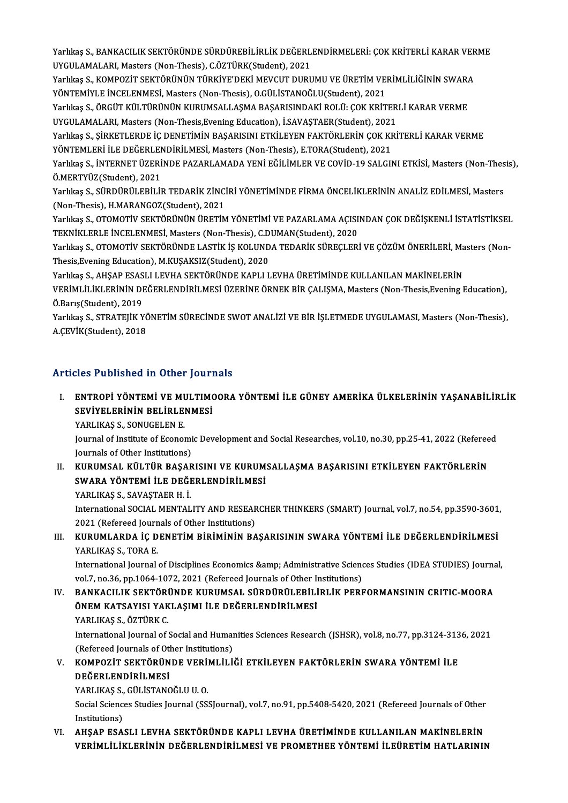Yarlıkaş S., BANKACILIK SEKTÖRÜNDE SÜRDÜREBİLİRLİK DEĞERLENDİRMELERİ: ÇOK KRİTERLİ KARAR VERME<br>UYÇULAMALARL Mastars (Nan Thesis), Göztünk(Studant), 2021 Yarlıkaş S., BANKACILIK SEKTÖRÜNDE SÜRDÜREBİLİRLİK DEĞERL<br>UYGULAMALARI, Masters (Non-Thesis), C.ÖZTÜRK(Student), 2021<br>Yarlıkas S. KOMPOZİT SEKTÖRÜNÜN TÜRKİVE'DEKİ MEVCUT DURU Yarlıkaş S., BANKACILIK SEKTÖRÜNDE SÜRDÜREBİLİRLİK DEĞERLENDİRMELERİ: ÇOK KRİTERLİ KARAR VER<br>UYGULAMALARI, Masters (Non-Thesis), C.ÖZTÜRK(Student), 2021<br>Yarlıkaş S., KOMPOZİT SEKTÖRÜNÜN TÜRKİYE'DEKİ MEVCUT DURUMU VE ÜRETİM

UYGULAMALARI, Masters (Non-Thesis), C.ÖZTÜRK(Student), 2021<br>Yarlıkaş S., KOMPOZİT SEKTÖRÜNÜN TÜRKİYE'DEKİ MEVCUT DURUMU VE ÜRETİM VERİMLİLİĞİNİN SWARA<br>YÖNTEMİYLE İNCELENMESİ, Masters (Non-Thesis), O.GÜLİSTANOĞLU(Student), Yarlıkaş S., KOMPOZİT SEKTÖRÜNÜN TÜRKİYE'DEKİ MEVCUT DURUMU VE ÜRETİM VERİMLİLİĞİNİN SWARA<br>YÖNTEMİYLE İNCELENMESİ, Masters (Non-Thesis), O.GÜLİSTANOĞLU(Student), 2021<br>Yarlıkaş S., ÖRGÜT KÜLTÜRÜNÜN KURUMSALLAŞMA BAŞARISINDA

YÖNTEMİYLE İNCELENMESİ, Masters (Non-Thesis), O.GÜLİSTANOĞLU(Student), 2021<br>Yarlıkaş S., ÖRGÜT KÜLTÜRÜNÜN KURUMSALLAŞMA BAŞARISINDAKİ ROLÜ: ÇOK KRİTER<br>UYGULAMALARI, Masters (Non-Thesis,Evening Education), İ.SAVAŞTAER(Stude Yarlıkaş S., ÖRGÜT KÜLTÜRÜNÜN KURUMSALLAŞMA BAŞARISINDAKİ ROLÜ: ÇOK KRİTERLİ KARAR VERME<br>UYGULAMALARI, Masters (Non-Thesis,Evening Education), İ.SAVAŞTAER(Student), 2021<br>Yarlıkaş S., ŞİRKETLERDE İÇ DENETİMİN BAŞARISINI ETK

UYGULAMALARI, Masters (Non-Thesis,Evening Education), İ.SAVAŞTAER(Student), 2021<br>Yarlıkaş S., ŞİRKETLERDE İÇ DENETİMİN BAŞARISINI ETKİLEYEN FAKTÖRLERİN ÇOK KF<br>YÖNTEMLERİ İLE DEĞERLENDİRİLMESİ, Masters (Non-Thesis), E.TORA( Yarlıkaş S., ŞİRKETLERDE İÇ DENETİMİN BAŞARISINI ETKİLEYEN FAKTÖRLERİN ÇOK KRİTERLİ KARAR VERME<br>YÖNTEMLERİ İLE DEĞERLENDİRİLMESİ, Masters (Non-Thesis), E.TORA(Student), 2021<br>Yarlıkaş S., İNTERNET ÜZERİNDE PAZARLAMADA YENİ

YÖNTEMLERİ İLE DEĞERLENDİRİLMESİ, Masters (Non-Thesis), E.TORA(Student), 2021<br>Yarlıkaş S., İNTERNET ÜZERİNDE PAZARLAMADA YENİ EĞİLİMLER VE COVİD-19 SALGI<br>Ö.MERTYÜZ(Student), 2021 Yarlıkaş S., İNTERNET ÜZERİNDE PAZARLAMADA YENİ EĞİLİMLER VE COVİD-19 SALGINI ETKİSİ, Masters (Non-Thesis),<br>Ö.MERTYÜZ(Student), 2021<br>Yarlıkaş S., SÜRDÜRÜLEBİLİR TEDARİK ZİNCİRİ YÖNETİMİNDE FİRMA ÖNCELİKLERİNİN ANALİZ EDİLM

Yarlıkaş S., SÜRDÜRÜLEBİLİR TEDARİK ZİNCİRİ YÖNETİMİNDE FİRMA ÖNCELİKLERİNİN ANALİZ EDİLMESİ, Masters

Yarlıkaş S., OTOMOTİV SEKTÖRÜNÜN ÜRETİM YÖNETİMİ VE PAZARLAMA AÇISINDAN ÇOK DEĞİŞKENLİ İSTATİSTİKSEL (Non-Thesis), H.MARANGOZ(Student), 2021<br>Yarlıkaş S., OTOMOTİV SEKTÖRÜNÜN ÜRETİM YÖNETİMİ VE PAZARLAMA AÇISI<br>TEKNİKLERLE İNCELENMESİ, Masters (Non-Thesis), C.DUMAN(Student), 2020<br>Yarlıkaş S. OTOMOTİV SEKTÖRÜNDE LASTİK İS KO Yarlıkaş S., OTOMOTİV SEKTÖRÜNÜN ÜRETİM YÖNETİMİ VE PAZARLAMA AÇISINDAN ÇOK DEĞİŞKENLİ İSTATİSTİKSEI<br>TEKNİKLERLE İNCELENMESİ, Masters (Non-Thesis), C.DUMAN(Student), 2020<br>Yarlıkaş S., OTOMOTİV SEKTÖRÜNDE LASTİK İŞ KOLUNDA

TEKNİKLERLE İNCELENMESİ, Masters (Non-Thesis), C.D<br>Yarlıkaş S., OTOMOTİV SEKTÖRÜNDE LASTİK İŞ KOLUND<br>Thesis,Evening Education), M.KUŞAKSIZ(Student), 2020<br>Yarlıkas S. AHSAR ESASLLI EVHA SEKTÖRÜNDE KARLLI Yarlıkaş S., OTOMOTİV SEKTÖRÜNDE LASTİK İŞ KOLUNDA TEDARİK SÜREÇLERİ VE ÇÖZÜM ÖNERİLERİ, Ma<br>Thesis,Evening Education), M.KUŞAKSIZ(Student), 2020<br>Yarlıkaş S., AHŞAP ESASLI LEVHA SEKTÖRÜNDE KAPLI LEVHA ÜRETİMİNDE KULLANILAN

Thesis,Evening Education), M.KUŞAKSIZ(Student), 2020<br>Yarlıkaş S., AHŞAP ESASLI LEVHA SEKTÖRÜNDE KAPLI LEVHA ÜRETİMİNDE KULLANILAN MAKİNELERİN<br>VERİMLİLİKLERİNİN DEĞERLENDİRİLMESİ ÜZERİNE ÖRNEK BİR ÇALIŞMA, Masters (Non-Thes Yarlıkaş S., AHŞAP ESAS<br>VERİMLİLİKLERİNİN DI<br>Ö.Barış(Student), 2019<br>Yarlılma S., STPATELİK V VERİMLİLİKLERİNİN DEĞERLENDİRİLMESİ ÜZERİNE ÖRNEK BİR ÇALIŞMA, Masters (Non-Thesis,Evening Education),<br>Ö.Barış(Student), 2019<br>Yarlıkaş S., STRATEJİK YÖNETİM SÜRECİNDE SWOT ANALİZİ VE BİR İŞLETMEDE UYGULAMASI, Masters (Non-

Ö.Barış(Student), 2019<br>Yarlıkaş S., STRATEJİK YÖNETİM SÜRECİNDE SWOT ANALİZİ VE BİR İŞLETMEDE UYGULAMASI, Masters (Non-Thesis),<br>A.ÇEVİK(Student), 2018

### Articles Published in Other Journals

I. ENTROPİ YÖNTEMİ VE MULTIMOORA YÖNTEMİ İLE GÜNEY AMERİKA ÜLKELERİNİN YAŞANABİLİRLİK SEV TURKENDU III OLIDI YOLTI<br>ENTROPİ YÖNTEMİ VE MULTIMO<br>SEVİYELERİNİN BELİRLENMESİ ENTROPI YÖNTEMI VE MI<br>SEVIYELERININ BELIRLE<br>YARLIKAŞ S., SONUGELEN E.<br>Journal of Institute of Esener

YARLIKAŞ S., SONUGELEN E.<br>Journal of Institute of Economic Development and Social Researches, vol.10, no.30, pp.25-41, 2022 (Refereed Journals of Other Institutions) Journal of Institute of Economic Development and Social Researches, vol.10, no.30, pp.25-41, 2022 (Referee<br>Journals of Other Institutions)<br>II. KURUMSAL KÜLTÜR BAŞARISINI VE KURUMSALLAŞMA BAŞARISINI ETKİLEYEN FAKTÖRLERİN<br>SW

Journals of Other Institutions)<br>KURUMSAL KÜLTÜR BAŞARISINI VE KURUM<br>SWARA YÖNTEMİ İLE DEĞERLENDİRİLMESİ<br>YARLIYAS S. SAVASTAER H.İ KURUMSAL KÜLTÜR BAŞAF<br>SWARA YÖNTEMİ İLE DEĞI<br>YARLIKAŞ S., SAVAŞTAER H. İ.<br>International SOCIAL MENTAL

SWARA YÖNTEMİ İLE DEĞERLENDİRİLMESİ<br>YARLIKAŞ S., SAVAŞTAER H. İ.<br>International SOCIAL MENTALITY AND RESEARCHER THINKERS (SMART) Journal, vol.7, no.54, pp.3590-3601,<br>2021 (Pefereed Journals of Other Institutione) YARLIKAŞ S., SAVAŞTAER H. İ.<br>International SOCIAL MENTALITY AND RESEAF<br>2021 (Refereed Journals of Other Institutions)<br>KURUMI ARDA İC DENETİM BIRIMİNIN BA International SOCIAL MENTALITY AND RESEARCHER THINKERS (SMART) Journal, vol.7, no.54, pp.3590-3601<br>2021 (Refereed Journals of Other Institutions)<br>III. KURUMLARDA İÇ DENETİM BİRİMİNİN BAŞARISININ SWARA YÖNTEMİ İLE DEĞERLEND

# 2021 (Refereed Journ<br>**KURUMLARDA İÇ D<br>YARLIKAŞ S., TORA E.**<br>International Journal KURUMLARDA İÇ DENETİM BİRİMİNİN BAŞARISININ SWARA YÖNTEMİ İLE DEĞERLENDİRİLMESİ<br>YARLIKAŞ S., TORA E.<br>International Journal of Disciplines Economics &amp; Administrative Sciences Studies (IDEA STUDIES) Journal,<br>Vel 7, no.26

YARLIKAŞ S., TORA E.<br>International Journal of Disciplines Economics &amp; Administrative Scienc<br>vol.7, no.36, pp.1064-1072, 2021 (Refereed Journals of Other Institutions)<br>RANKACU IK SEKTÖRÜNDE KURUMSAL SÜRDÜRÜLERLI DI İK R International Journal of Disciplines Economics & Administrative Sciences Studies (IDEA STUDIES) Journal vol.7, no.36, pp.1064-1072, 2021 (Refereed Journals of Other Institutions)<br>IV. BANKACILIK SEKTÖRÜNDE KURUMSAL SÜRD

### vol.7, no.36, pp.1064-1072, 2021 (Refereed Journals of Other Index Index 1072, 2021 (Refereed Journals of Other I<br>ÖNEM KATSAYISI YAKLAŞIMI İLE DEĞERLENDİRİLMESİ<br>VARLIKAS S. ÖZTÜRK C BANKACILIK SEKTÖRI<br>ÖNEM KATSAYISI YAK<br>YARLIKAŞ S., ÖZTÜRK C.<br>International Journal of S ÖNEM KATSAYISI YAKLAŞIMI İLE DEĞERLENDİRİLMESİ<br>YARLIKAŞ S., ÖZTÜRK C.<br>International Journal of Social and Humanities Sciences Research (JSHSR), vol.8, no.77, pp.3124-3136, 2021<br>(Refereed Journals of Other Institutions)

YARLIKAŞ S., ÖZTÜRK C.<br>International Journal of Social and Humar<br>(Refereed Journals of Other Institutions)<br>KOMPOZİT SEKTÖRÜNDE VERİMI İLİ International Journal of Social and Humanities Sciences Research (JSHSR), vol.8, no.77, pp.3124-313<br>(Refereed Journals of Other Institutions)<br>V. KOMPOZİT SEKTÖRÜNDE VERİMLİLİĞİ ETKİLEYEN FAKTÖRLERİN SWARA YÖNTEMİ İLE<br>DEĞER

# (Refereed Journals of Otl<br>KOMPOZİT SEKTÖRÜN<br>DEĞERLENDİRİLMESİ<br>YABLIYAS S-CÜLİSTANG KOMPOZİT SEKTÖRÜNDE VERİ<br>DEĞERLENDİRİLMESİ<br>YARLIKAŞ S., GÜLİSTANOĞLU U. O.<br>Segial Sgianoos Studios Jaunnal (SS

DEĞERLENDİRİLMESİ<br>YARLIKAŞ S., GÜLİSTANOĞLU U. O.<br>Social Sciences Studies Journal (SSSJournal), vol.7, no.91, pp.5408-5420, 2021 (Refereed Journals of Other<br>Institutione) YARLIKAŞ S.,<br>Social Scienc<br>Institutions)<br>AHSAR ESA

### VI. AHŞAP ESASLI LEVHA SEKTÖRÜNDE KAPLI LEVHA ÜRETİMİNDE KULLANILAN MAKİNELERİN VERİMLİLİKLERİNİN DEĞERLENDİRİLMESİ VE PROMETHEE YÖNTEMİ İLEÜRETİMHATLARININ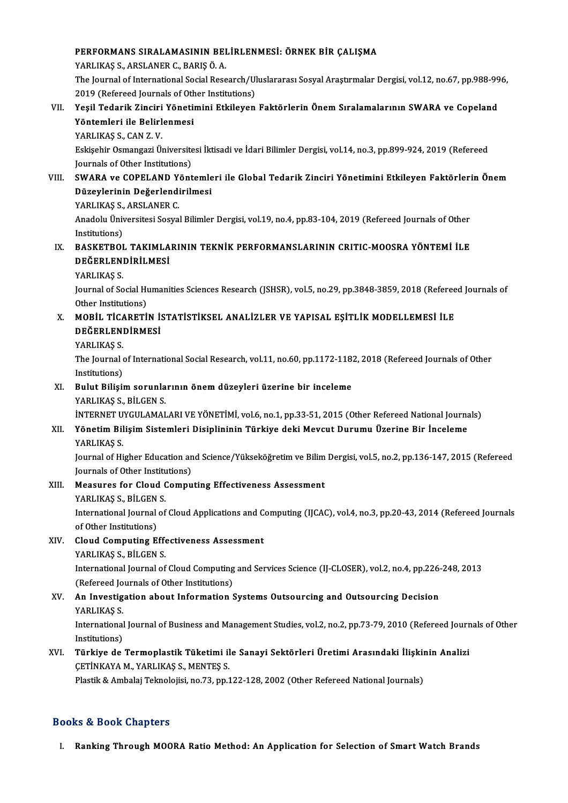# PERFORMANS SIRALAMASININ BELİRLENMESİ: ÖRNEK BİR ÇALIŞMA<br>XARLIKAS S. ARSLANER G. BARIŞ Ö. A **PERFORMANS SIRALAMASININ BEI<br>YARLIKAŞ S., ARSLANER C., BARIŞ Ö. A.<br>The Journal of International Social Bess**

YARLIKAŞ S., ARSLANER C., BARIŞ Ö. A.<br>The Journal of International Social Research/Uluslararası Sosyal Araştırmalar Dergisi, vol.12, no.67, pp.988-996, YARLIKAŞ S., ARSLANER C., BARIŞ Ö. A.<br>The Journal of International Social Research/Ul<br>2019 (Refereed Journals of Other Institutions)<br>Yesil Tederik Zinsini Yönstimini Etkileven The Journal of International Social Research/Uluslararası Sosyal Araştırmalar Dergisi, vol.12, no.67, pp.988-99<br>2019 (Refereed Journals of Other Institutions)<br>VII. Yeşil Tedarik Zinciri Yönetimini Etkileyen Faktörlerin Öne

2019 (Refereed Journals of Oth<br>Yeşil Tedarik Zinciri Yöneti<br>Yöntemleri ile Belirlenmesi<br>YABLIKAS S. CAN 7 V Yeşil Tedarik Zinciri<br>Yöntemleri ile Belirl<br>YARLIKAŞ S., CAN Z. V.<br>Eskisebir Osmangari ü.

Yöntemleri ile Belirlenmesi<br>YARLIKAŞ S., CAN Z. V.<br>Eskişehir Osmangazi Üniversitesi İktisadi ve İdari Bilimler Dergisi, vol.14, no.3, pp.899-924, 2019 (Refereed YARLIKAŞ S., CAN Z. V.<br>Eskişehir Osmangazi Üniversite<br>Journals of Other Institutions)<br>SWARA ve COBELAND Vänt Eskişehir Osmangazi Üniversitesi İktisadi ve İdari Bilimler Dergisi, vol.14, no.3, pp.899-924, 2019 (Refereed<br>Journals of Other Institutions)<br>VIII. SWARA ve COPELAND Yöntemleri ile Global Tedarik Zinciri Yönetimini Etkiley

# Journals of Other Institutions)<br>SWARA ve COPELAND Yöntemle<br>Düzeylerinin Değerlendirilmesi<br>YABI IYAS S. ABSI ANER C SWARA ve COPELAND Y<br>Düzeylerinin Değerlendi<br>YARLIKAŞ S., ARSLANER C.<br>Anadolu Üniversitesi Sosva

Düzeylerinin Değerlendirilmesi<br>YARLIKAŞ S., ARSLANER C.<br>Anadolu Üniversitesi Sosyal Bilimler Dergisi, vol.19, no.4, pp.83-104, 2019 (Refereed Journals of Other<br>Institutione) **YARLIKAŞ S.,<br>Anadolu Üniv<br>Institutions)**<br>PASKETPOL Anadolu Üniversitesi Sosyal Bilimler Dergisi, vol.19, no.4, pp.83-104, 2019 (Refereed Journals of Other Institutions)<br>IX. BASKETBOL TAKIMLARININ TEKNİK PERFORMANSLARININ CRITIC-MOOSRA YÖNTEMİ İLE<br>DEĞEPLENDIRLI MESİ

# Institutions)<br>BASKETBOL TAKIMLA<br>DEĞERLENDİRİLMESİ<br>YABLIYAS S BASKETBOI<br>DEĞERLEN<br>YARLIKAŞ S.<br>Journal of So

DEĞERLENDİRİLMESİ<br>YARLIKAŞ S.<br>Journal of Social Humanities Sciences Research (JSHSR), vol.5, no.29, pp.3848-3859, 2018 (Refereed Journals of YARLIKAŞ S.<br>Journal of Social Hu<br>Other Institutions)<br>MORIL TICARETI Journal of Social Humanities Sciences Research (JSHSR), vol.5, no.29, pp.3848-3859, 2018 (Referee<br>Other Institutions)<br>X. MOBİL TİCARETİN İSTATİSTİKSEL ANALİZLER VE YAPISAL EŞİTLİK MODELLEMESİ İLE<br>DEĞEPLENDİRMESİ

# Other Institutions)<br>MOBİL TİCARETİN İ:<br>DEĞERLENDİRMESİ<br>YABI IYAS S MOBIL TICA<br>DEĞERLEN<br>YARLIKAŞ S.<br>The Journal

DEĞERLENDİRMESİ<br>YARLIKAŞ S.<br>The Journal of International Social Research, vol.11, no.60, pp.1172-1182, 2018 (Refereed Journals of Other<br>Institutions) YARLIKAŞ S.<br>The Journal (<br>Institutions)<br>Pulut Pilici The Journal of International Social Research, vol.11, no.60, pp.1172-118<br>Institutions)<br>XI. Bulut Bilişim sorunlarının önem düzeyleri üzerine bir inceleme<br>VABI IKAS S. PİLCEN S.

# Institutions)<br>XI. Bulut Bilişim sorunlarının önem düzeyleri üzerine bir inceleme<br>YARLIKAŞ S., BİLGEN S.

İNTERNET UYGULAMALARI VE YÖNETİMİ, vol.6, no.1, pp.33-51, 2015 (Other Refereed National Journals)

### XII. Yönetim Bilişim Sistemleri Disiplininin Türkiye deki Mevcut Durumu Üzerine Bir İnceleme YARLIKAŞ S.

Yönetim Bilişim Sistemleri Disiplininin Türkiye deki Mevcut Durumu Üzerine Bir İnceleme<br>YARLIKAŞ S.<br>Journal of Higher Education and Science/Yükseköğretim ve Bilim Dergisi, vol.5, no.2, pp.136-147, 2015 (Refereed<br>Journals o YARLIKAŞ S.<br>Journal of Higher Education an<br>Journals of Other Institutions)<br>Measures for Cleud Compu Journal of Higher Education and Science/Yükseköğretim ve Bilim<br>Journals of Other Institutions)<br>XIII. Measures for Cloud Computing Effectiveness Assessment<br>VABUWAS S. PU.CEN S.

### Journals of Other Institute<br>Measures for Cloud<br>YARLIKAŞ S., BİLGEN S.<br>International Iournal of International Journal of Cloud Applications and Computing (IJCAC), vol.4, no.3, pp.20-43, 2014 (Refereed Journals of Other Institutions) YARLIKAS S. BİLGEN S. International Journal of Cloud Applications and C<br>of Other Institutions)<br>XIV. Cloud Computing Effectiveness Assessment<br>XAPLIVAS S. PUGEN S

# of Other Institutions)<br>Cloud Computing Effe<br>YARLIKAŞ S., BİLGEN S.<br>International Journal of

Cloud Computing Effectiveness Assessment<br>YARLIKAŞ S., BİLGEN S.<br>International Journal of Cloud Computing and Services Science (IJ-CLOSER), vol.2, no.4, pp.226-248, 2013<br>(Refereed Journals of Other Institutions) YARLIKAŞ S., BİLGEN S.<br>International Journal of Cloud Computing<br>(Refereed Journals of Other Institutions)<br>An Investitation about Information ( International Journal of Cloud Computing and Services Science (IJ-CLOSER), vol.2, no.4, pp.226-<br>(Refereed Journals of Other Institutions)<br>XV. An Investigation about Information Systems Outsourcing and Outsourcing Decision<br>

# (Refereed Journals of Other Institutions)<br>XV. An Investigation about Information Systems Outsourcing and Outsourcing Decision<br>YARLIKAŞ S.

An Investigation about Information Systems Outsourcing and Outsourcing Decision<br>YARLIKAŞ S.<br>International Journal of Business and Management Studies, vol.2, no.2, pp.73-79, 2010 (Refereed Journals of Other<br>Institutions) YARLIKAŞ S.<br>International<br>Institutions)<br>Türkiye de International Journal of Business and Management Studies, vol.2, no.2, pp.73-79, 2010 (Refereed Journ<br>Institutions)<br>XVI. Türkiye de Termoplastik Tüketimi ile Sanayi Sektörleri Üretimi Arasındaki İlişkinin Analizi<br>CETİNKAYA

# Institutions)<br>Türkiye de Termoplastik Tüketimi il<br>ÇETİNKAYA M., YARLIKAŞ S., MENTEŞ S.<br>Plastik & Ambakı Telmolajisi ne 73 nn 1 Türkiye de Termoplastik Tüketimi ile Sanayi Sektörleri Üretimi Arasındaki İlişkiı<br>ÇETİNKAYA M., YARLIKAŞ S., MENTEŞ S.<br>Plastik & Ambalaj Teknolojisi, no.73, pp.122-128, 2002 (Other Refereed National Journals)

Plastik & Ambalaj Teknolojisi, no.73, pp.122-128, 2002 (Other Refereed National Journals)<br>Books & Book Chapters

I. Ranking Through MOORA Ratio Method: An Application for Selection of Smart Watch Brands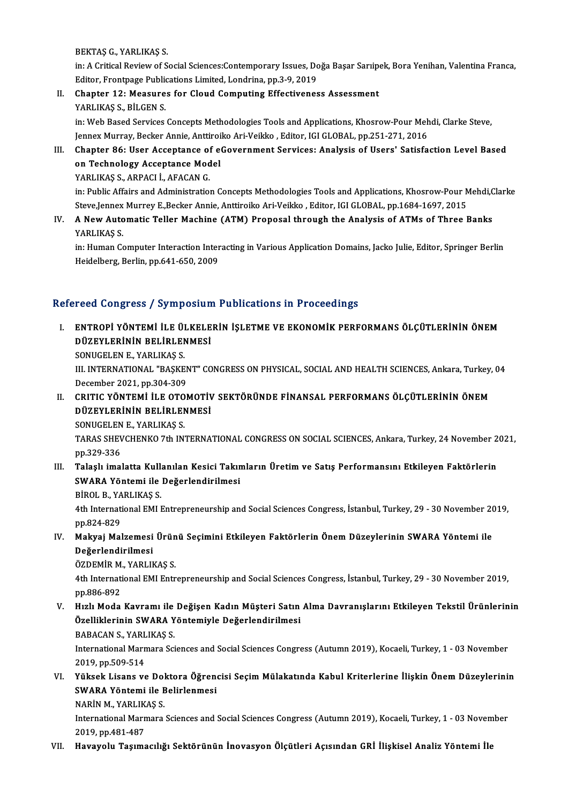BEKTAŞG.,YARLIKAŞ S.

BEKTAŞ G., YARLIKAŞ S.<br>in: A Critical Review of Social Sciences:Contemporary Issues, Doğa Başar Sarıipek, Bora Yenihan, Valentina Franca,<br>Editor, Frantpage Publicationa Limited, Landrina, pp.3,9,2019 BEKTAŞ G., YARLIKAŞ S.<br>in: A Critical Review of Social Sciences:Contemporary Issues, Do.<br>Editor, Frontpage Publications Limited, Londrina, pp.3-9, 2019<br>Chanter 12: Measures for Claud Computing Effectivenes in: A Critical Review of Social Sciences:Contemporary Issues, Doğa Başar Sarıipe<br>Editor, Frontpage Publications Limited, Londrina, pp.3-9, 2019<br>II. Chapter 12: Measures for Cloud Computing Effectiveness Assessment<br>VARLIVAS

Editor, Frontpage Public<br>Chapter 12: Measure<br>YARLIKAŞ S., BİLGEN S.

Chapter 12: Measures for Cloud Computing Effectiveness Assessment<br>YARLIKAŞ S., BİLGEN S.<br>in: Web Based Services Concepts Methodologies Tools and Applications, Khosrow-Pour Mehdi, Clarke Steve,<br>Jonney Murray, Becker Annia A YARLIKAŞ S., BİLGEN S.<br>in: Web Based Services Concepts Methodologies Tools and Applications, Khosrow-Pour Meh<br>Jennex Murray, Becker Annie, Anttiroiko Ari-Veikko , Editor, IGI GLOBAL, pp.251-271, 2016<br>Chanter 86: User Assen Jennex Murray, Becker Annie, Anttiroiko Ari-Veikko , Editor, IGI GLOBAL, pp.251-271, 2016

III. Chapter 86: User Acceptance of eGovernment Services: Analysis of Users' Satisfaction Level Based<br>on Technology Acceptance Model YARLIKAŞ S., ARPACI İ., AFACAN G. on Technology Acceptance Model<br>YARLIKAŞ S., ARPACI İ., AFACAN G.<br>in: Public Affairs and Administration Concepts Methodologies Tools and Applications, Khosrow-Pour Mehdi,Clarke<br>Steve Janney Murrey E. Becker Annie, Antipeike

YARLIKAŞ S., ARPACI İ., AFACAN G.<br>in: Public Affairs and Administration Concepts Methodologies Tools and Applications, Khosrow-Pour M<br>Steve,Jennex Murrey E.,Becker Annie, Anttiroiko Ari-Veikko , Editor, IGI GLOBAL, pp.1684 in: Public Affairs and Administration Concepts Methodologies Tools and Applications, Khosrow-Pour Mehdi, Corre<br>Steve,Jennex Murrey E.,Becker Annie, Anttiroiko Ari-Veikko , Editor, IGI GLOBAL, pp.1684-1697, 2015<br>IV. A New A

Steve,Jennex<br>**A New Auto<br>YARLIKAŞ S.**<br>in: Human Ce A New Automatic Teller Machine (ATM) Proposal through the Analysis of ATMs of Three Banks<br>YARLIKAŞ S.<br>in: Human Computer Interaction Interacting in Various Application Domains, Jacko Julie, Editor, Springer Berlin<br>Heidelbe

YARLIKAŞ S.<br>in: Human Computer Interaction Inter<br>Heidelberg, Berlin, pp.641-650, 2009

# Heidelberg, Berlin, pp.641-650, 2009<br>Refereed Congress / Symposium Publications in Proceedings

efereed Congress / Symposium Publications in Proceedings<br>I. – ENTROPİ YÖNTEMİ İLE ÜLKELERİN İŞLETME VE EKONOMİK PERFORMANS ÖLÇÜTLERİNİN ÖNEM<br>DÜZEVI ERİNİN RELİRI ENMESİ TOCA GÖNETCES", SYMPOSIAN<br>ENTROPİ YÖNTEMİ İLE ÜLKELE<br>DÜZEYLERİNİN BELİRLENMESİ<br>SONUCELENE, YAPLIKAS S ENTROPI YÖNTEMI İLE ÜL<br>DÜZEYLERININ BELIRLEN<br>SONUGELEN E., YARLIKAŞ S.<br>III INTEPNATIONAL "PASKE

DÜZEYLERİNİN BELİRLENMESİ<br>SONUGELEN E., YARLIKAŞ S.<br>III. INTERNATIONAL "BAŞKENT" CONGRESS ON PHYSICAL, SOCIAL AND HEALTH SCIENCES, Ankara, Turkey, 04<br>Desambar 3031 pp 304 309 SONUGELEN E., YARLIKAŞ S.<br>III. INTERNATIONAL "BAŞKEN<br>December 2021, pp.304-309<br>CRITIC YÖNTEMİ İLE OTOL III. INTERNATIONAL "BAŞKENT" CONGRESS ON PHYSICAL, SOCIAL AND HEALTH SCIENCES, Ankara, Turkey,<br>December 2021, pp.304-309<br>II. CRITIC YÖNTEMİ İLE OTOMOTİV SEKTÖRÜNDE FİNANSAL PERFORMANS ÖLÇÜTLERİNİN ÖNEM<br>DÜZEVI ERİNİN BE

December 2021, pp.304-309<br>CRITIC YÖNTEMİ İLE OTOMOTİV<br>DÜZEYLERİNİN BELİRLENMESİ<br>SONUCELENE, YARLIYAS S DÜZEYLERININ BELIRLENMESI<br>SONUGELEN E., YARLIKAŞ S.

TARAS SHEVCHENKO 7th INTERNATIONAL CONGRESS ON SOCIAL SCIENCES, Ankara, Turkey, 24 November 2021, pp.329-336 TARAS SHEVCHENKO 7th INTERNATIONAL CONGRESS ON SOCIAL SCIENCES, Ankara, Turkey, 24 November 2<br>pp.329-336<br>III. Talaşlı imalatta Kullanılan Kesici Takımların Üretim ve Satış Performansını Etkileyen Faktörlerin<br>SWARA Vöntomi

pp.329-336<br>Talaşlı imalatta Kullanılan Kesici Takır<br>SWARA Yöntemi ile Değerlendirilmesi<br>PİROL B. YARLIKASS Talaşlı imalatta Kull<mark>:</mark><br>SWARA Yöntemi ile<br>BİROL B., YARLIKAŞ S.<br><sup>4th Intornational EMLI</sup>

SWARA Yöntemi ile Değerlendirilmesi<br>BİROL B., YARLIKAŞ S.<br>4th International EMI Entrepreneurship and Social Sciences Congress, İstanbul, Turkey, 29 - 30 November 2019,<br>nn 924-929 BİROL B., YA<br>4th Internati<br>pp.824-829<br>Makvai Mal 4th International EMI Entrepreneurship and Social Sciences Congress, İstanbul, Turkey, 29 - 30 November 20<br>pp.824-829<br>IV. Makyaj Malzemesi Ürünü Seçimini Etkileyen Faktörlerin Önem Düzeylerinin SWARA Yöntemi ile<br>Peğarlan

pp.824-829<br><mark>Makyaj Malzemesi</mark><br>Değerlendirilmesi<br>ÖZDEMİP M. VAPLII Makyaj Malzemesi Ürün<br>Değerlendirilmesi<br>ÖZDEMİR M., YARLIKAŞ S.<br>4th International EMI Entr

Değerlendirilmesi<br>ÖZDEMİR M., YARLIKAŞ S.<br>4th International EMI Entrepreneurship and Social Sciences Congress, İstanbul, Turkey, 29 - 30 November 2019,<br>nn 896,802 ÖZDEMİR M.<br>4th Internati<br>pp.886-892<br>Hizli Moda 4th International EMI Entrepreneurship and Social Sciences Congress, İstanbul, Turkey, 29 - 30 November 2019,<br>pp.886-892<br>V. Hızlı Moda Kavramı ile Değişen Kadın Müşteri Satın Alma Davranışlarını Etkileyen Tekstil Ürünlerin

pp.886-892<br>Hızlı Moda Kavramı ile Değişen Kadın Müşteri Satın<br>Özelliklerinin SWARA Yöntemiyle Değerlendirilmesi<br>RARACAN S. VARLIKAS S Hızlı Moda Kavramı ile<br>Özelliklerinin SWARA Y<br>BABACAN S., YARLIKAŞ S.<br>International Marmara Sat

Özelliklerinin SWARA Yöntemiyle Değerlendirilmesi<br>BABACAN S., YARLIKAŞ S.<br>International Marmara Sciences and Social Sciences Congress (Autumn 2019), Kocaeli, Turkey, 1 - 03 November<br>2019. pp.509.514. BABACAN S., YARL<br>International Marn<br>2019, pp.509-514<br>Vülselt Lisens vs International Marmara Sciences and Social Sciences Congress (Autumn 2019), Kocaeli, Turkey, 1 - 03 November<br>2019, pp.509-514<br>VI. Yüksek Lisans ve Doktora Öğrencisi Seçim Mülakatında Kabul Kriterlerine İlişkin Önem Düzeyler

# 2019, pp.509-514<br>Yüksek Lisans ve Doktora Öğren<br>SWARA Yöntemi ile Belirlenmesi<br>NARİN M. YARLIKAS S Yüksek Lisans ve Dol<br>SWARA Yöntemi ile E<br>NARİN M., YARLIKAŞ S.<br>International Mermare

NARIN M., YARLIKAŞ S.

SWARA Yöntemi ile Belirlenmesi<br>NARİN M., YARLIKAŞ S.<br>International Marmara Sciences and Social Sciences Congress (Autumn 2019), Kocaeli, Turkey, 1 - 03 November<br>2019, pp.481-487

VII. Havayolu Taşımacılığı Sektörünün İnovasyon Ölçütleri Açısından GRİ İlişkisel Analiz Yöntemi İle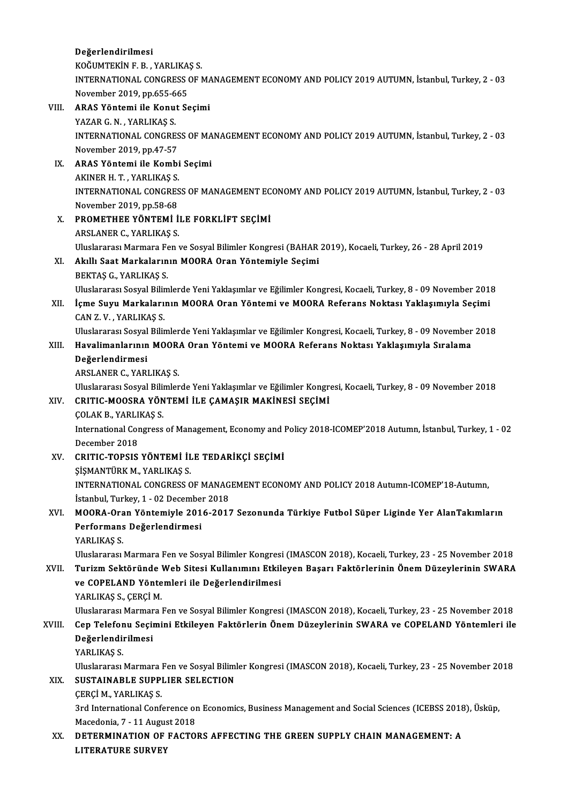### Değerlendirilmesi

De<mark>ğerlendirilmesi</mark><br>KOĞUMTEKİN F. B. , YARLIKAŞ S.<br>INTERNATIONAL CONCRESS OF 1

INTERNATIONAL CONGRESS OF MANAGEMENT ECONOMY AND POLICY 2019 AUTUMN, İstanbul, Turkey, 2 - 03<br>November 2019, pp.655-665 KOĞUMTEKİN F. B. , YARLIKA<br>INTERNATIONAL CONGRESS (<br>November 2019, pp.655-665<br>APAS Väntemi ile Kenut Sc

- VIII. ARAS Yöntemi ile Konut Seçimi November 2019, pp.655-6<br>ARAS Yöntemi ile Konu<br>YAZAR G. N. , YARLIKAŞ S.<br>INTERNATIONAL CONCRE INTERNATIONAL CONGRESS OF MANAGEMENT ECONOMY AND POLICY 2019 AUTUMN, İstanbul, Turkey, 2 - 03<br>November 2019, pp.47-57 YAZAR G. N. , YARLIKAŞ S.<br>INTERNATIONAL CONGRES<br>November 2019, pp.47-57<br>APAS Väntemi ile Kembi
	- IX. ARAS Yöntemi ile Kombi Seçimi November 2019, pp.47-57<br>ARAS Yöntemi ile Kombi<br>AKINER H.T., YARLIKAŞ S.<br>INTERNATIONAL CONCRES INTERNATIONAL CONGRESS OF MANAGEMENT ECONOMY AND POLICY 2019 AUTUMN, İstanbul, Turkey, 2 - 03<br>November 2019, pp.58-68 AKINER H. T. , YARLIKAŞ S.<br>INTERNATIONAL CONGRES<br>November 2019, pp.58-68<br>PROMETUEE VÖNTEMİ İ
	- X. PROMETHEE YÖNTEMİ İLE FORKLİFT SEÇİMİ ARSLANERC.,YARLIKAŞ S. PROMETHEE YÖNTEMİ İLE FORKLİFT SEÇİMİ<br>ARSLANER C., YARLIKAŞ S.<br>Uluslararası Marmara Fen ve Sosyal Bilimler Kongresi (BAHAR 2019), Kocaeli, Turkey, 26 - 28 April 2019<br>Akıllı Saat Markalarının MOORA Oran Yöntemiyle Sesimi
	- XI. Akıllı Saat Markalarının MOORA Oran Yöntemiyle Seçimi<br>BEKTAŞ G., YARLIKAŞ S. Uluslararası Marmara Fe<br><mark>Akıllı Saat Markaların</mark><br>BEKTAŞ G., YARLIKAŞ S.<br>Uluslararası Sasual Bilim Uluslararası Sosyal Bilimlerde Yeni Yaklaşımlar ve Eğilimler Kongresi, Kocaeli, Turkey, 8 - 09 November 2018
- BEKTAŞ G., YARLIKAŞ S.<br>1011 Uluslararası Sosyal Bilimlerde Yeni Yaklaşımlar ve Eğilimler Kongresi, Kocaeli, Turkey, 8 09 November<br>1011 Içme Suyu Markalarının MOORA Oran Yöntemi ve MOORA Referans Noktası Yaklaşımıyla Uluslararası Sosyal Bilir<br>İçme Suyu Markaları<br>CAN Z. V. , YARLIKAŞ S.<br>Uluslararası Sosyal Bilir İçme Suyu Markalarının MOORA Oran Yöntemi ve MOORA Referans Noktası Yaklaşımıyla Seçimi<br>CAN Z. V. , YARLIKAŞ S.<br>Uluslararası Sosyal Bilimlerde Yeni Yaklaşımlar ve Eğilimler Kongresi, Kocaeli, Turkey, 8 - 09 November 2018<br>H

Uluslararası Sosyal Bilimlerde Yeni Yaklaşımlar ve Eğilimler Kongresi, Kocaeli, Turkey, 8 - 09 November 2018

# CAN Z. V. , YARLIKAŞ S.<br>Uluslararası Sosyal Bilimlerde Yeni Yaklaşımlar ve Eğilimler Kongresi, Kocaeli, Turkey, 8 - 09 November<br>XIII. Havalimanlarının MOORA Oran Yöntemi ve MOORA Referans Noktası Yaklaşımıyla Sıralama<br>

ARSLANERC.,YARLIKAŞ S.

Uluslararası Sosyal Bilimlerde Yeni Yaklaşımlar ve Eğilimler Kongresi, Kocaeli, Turkey, 8 - 09 November 2018 Uluslararası Sosyal Bilin<br>CRITIC-MOOSRA YÖN<br>ÇOLAK B., YARLIKAŞ S.<br>International Congrees

### XIV. CRITIC-MOOSRA YÖNTEMİ İLE ÇAMAŞIR MAKİNESİ SEÇİMİ

International Congress of Management, Economy and Policy 2018-ICOMEP'2018 Autumn, İstanbul, Turkey, 1 - 02<br>December 2018 COLAK B., YARLI<br>International Cor<br>December 2018<br>CRITIC TORSIS International Congress of Management, Economy and 1<br>December 2018<br>XV. CRITIC-TOPSIS YÖNTEMİ İLE TEDARİKÇİ SEÇİMİ<br>SİSMANTÜRK M. YARLIKAS S

### December 2018<br>CRITIC-TOPSIS YÖNTEMİ İL<br>ŞİŞMANTÜRK M., YARLIKAŞ S.<br>INTERNATIONAL CONCRESS C CRITIC-TOPSIS YÖNTEMİ İLE TEDARİKÇİ SEÇİMİ<br>ŞİŞMANTÜRK M., YARLIKAŞ S.<br>INTERNATIONAL CONGRESS OF MANAGEMENT ECONOMY AND POLICY 2018 Autumn-ICOMEP'18-Autumn,<br>İstanbul Turkey 1, .02 Desember 2018 SISMANTÜRK M., YARLIKAS S.<br>INTERNATIONAL CONGRESS OF MANAG<br>İstanbul, Turkey, 1 - 02 December 2018<br>MOORA Oran Väntamirla 2016 2017

### XVI. MOORA-Oran Yöntemiyle 2016-2017 Sezonunda Türkiye Futbol Süper Liginde Yer AlanTakımların İstanbul, Turkey, 1 - 02 Decembe<br>MOORA-Oran Yöntemiyle 201<br>Performans Değerlendirmesi<br>YABLIYAS S MOORA-Ora<br>Performans<br>YARLIKAŞ S.<br><sup>Hluclononon</sup>

YARLIKAŞ S.<br>Uluslararası Marmara Fen ve Sosyal Bilimler Kongresi (IMASCON 2018), Kocaeli, Turkey, 23 - 25 November 2018

YARLIKAŞ S.<br>1918 - Uluslararası Marmara Fen ve Sosyal Bilimler Kongresi (IMASCON 2018), Kocaeli, Turkey, 23 - 25 November<br>1918 - XVII. - Turizm Sektöründe Web Sitesi Kullanımını Etkileyen Başarı Faktörlerinin Önem Düzeyler Uluslararası Marmara Fen ve Sosyal Bilimler Kongresi<br>Turizm Sektöründe Web Sitesi Kullanımını Etkil<br>ve COPELAND Yöntemleri ile Değerlendirilmesi<br>VARLIKAS S. CERCİ M Turizm Sektöründe<br>ve COPELAND Yönte<br>YARLIKAŞ S., ÇERÇİ M.<br>Uluclararacı Marmara ve COPELAND Yöntemleri ile Değerlendirilmesi<br>YARLIKAŞ S., ÇERÇİ M.<br>Uluslararası Marmara Fen ve Sosyal Bilimler Kongresi (IMASCON 2018), Kocaeli, Turkey, 23 - 25 November 2018<br>Con Telefonu Sosimini Etkileyan Fektörlerin Öne

### YARLIKAŞ S., ÇERÇİ M.<br>Uluslararası Marmara Fen ve Sosyal Bilimler Kongresi (IMASCON 2018), Kocaeli, Turkey, 23 - 25 November 2018<br>XVIII. Cep Telefonu Seçimini Etkileyen Faktörlerin Önem Düzeylerinin SWARA ve COPELAND Y Uluslararası Marman<br>Cep Telefonu Seçii<br>Değerlendirilmesi<br>YABI IVAS S Cep Telefor<br>Değerlendi<br>YARLIKAŞ S.<br>Uluslararası

De<mark>ğerlendirilmesi</mark><br>YARLIKAŞ S.<br>Uluslararası Marmara Fen ve Sosyal Bilimler Kongresi (IMASCON 2018), Kocaeli, Turkey, 23 - 25 November 2018<br>SUSTAJNARLE SURRLER SEL FCTION YARLIKAŞ S.<br>Uluslararası Marmara Fen ve Sosyal Bilim<br>XIX. SUSTAINABLE SUPPLIER SELECTION<br>CERCI M., YARLIKAŞ S. Uluslararası Marmara<br>SUSTAINABLE SUPP<br>ÇERÇİ M., YARLIKAŞ S.<br><sup>2nd</sup> International Conf

SUSTAINABLE SUPPLIER SELECTION<br>ÇERÇİ M., YARLIKAŞ S.<br>3rd International Conference on Economics, Business Management and Social Sciences (ICEBSS 2018), Üsküp,<br>Magadania 7, 11 August 2019 CERCI M., YARLIKAS S.<br>3rd International Conference or<br>Macedonia, 7 - 11 August 2018<br>DETERMINATION OF FACTO 3rd International Conference on Economics, Business Management and Social Sciences (ICEBSS 2018<br>Macedonia, 7 - 11 August 2018<br>XX. DETERMINATION OF FACTORS AFFECTING THE GREEN SUPPLY CHAIN MANAGEMENT: A

Macedonia, 7 - 11 Augus<br>DETERMINATION OF<br>LITERATURE SURVEY